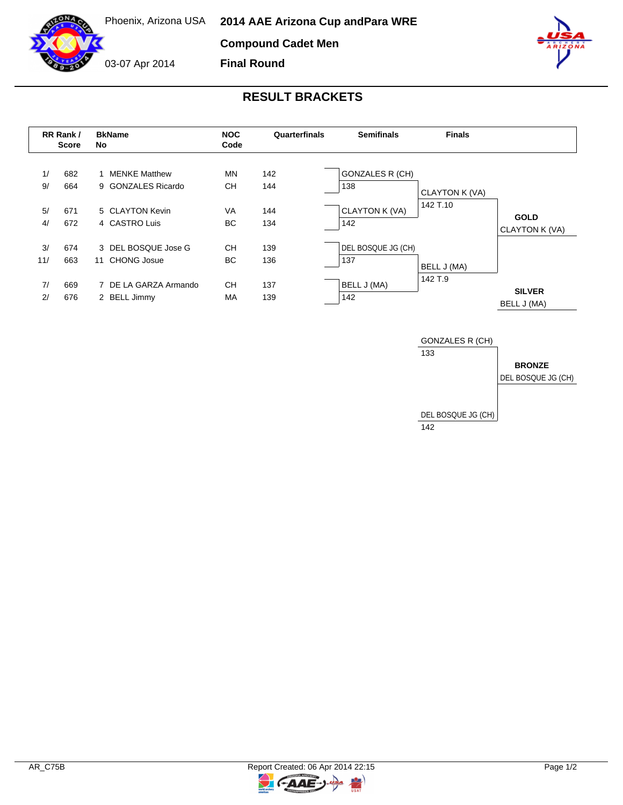Phoenix, Arizona USA

**Compound Cadet Men**

03-07 Apr 2014

**Final Round**

## **RESULT BRACKETS**